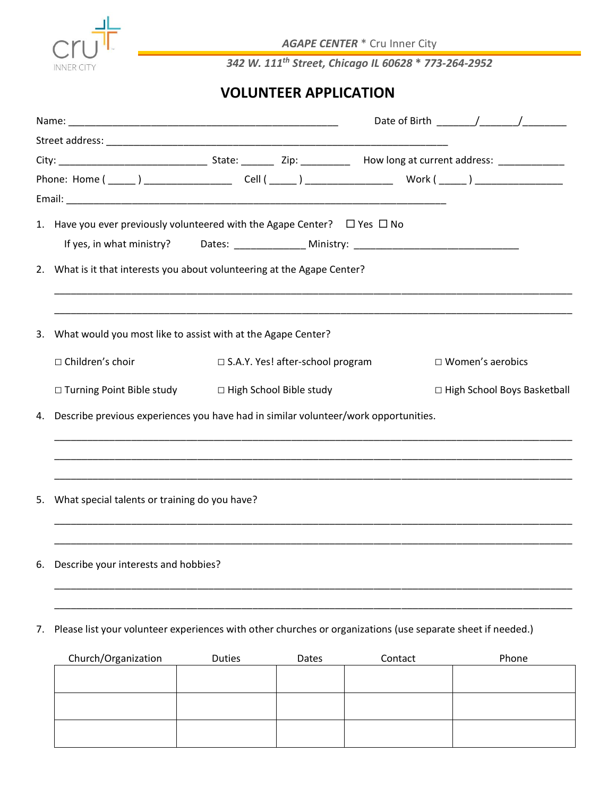

*AGAPE CENTER* \* Cru Inner City

*342 W. 111th Street, Chicago IL 60628* **\*** *773-264-2952*

## **VOLUNTEER APPLICATION**

|    | 1. Have you ever previously volunteered with the Agape Center? $\Box$ Yes $\Box$ No                         |                                    |                               |
|----|-------------------------------------------------------------------------------------------------------------|------------------------------------|-------------------------------|
|    |                                                                                                             |                                    |                               |
|    | 2. What is it that interests you about volunteering at the Agape Center?                                    |                                    |                               |
|    | 3. What would you most like to assist with at the Agape Center?                                             |                                    |                               |
|    | $\Box$ Children's choir                                                                                     | □ S.A.Y. Yes! after-school program | $\Box$ Women's aerobics       |
|    | □ Turning Point Bible study □ High School Bible study                                                       |                                    | □ High School Boys Basketball |
| 4. | Describe previous experiences you have had in similar volunteer/work opportunities.                         |                                    |                               |
| 5. | What special talents or training do you have?                                                               |                                    |                               |
| 6. | Describe your interests and hobbies?                                                                        |                                    |                               |
| 7. | Please list your volunteer experiences with other churches or organizations (use separate sheet if needed.) |                                    |                               |

| Church/Organization | Duties | Dates | Contact | Phone |
|---------------------|--------|-------|---------|-------|
|                     |        |       |         |       |
|                     |        |       |         |       |
|                     |        |       |         |       |
|                     |        |       |         |       |
|                     |        |       |         |       |
|                     |        |       |         |       |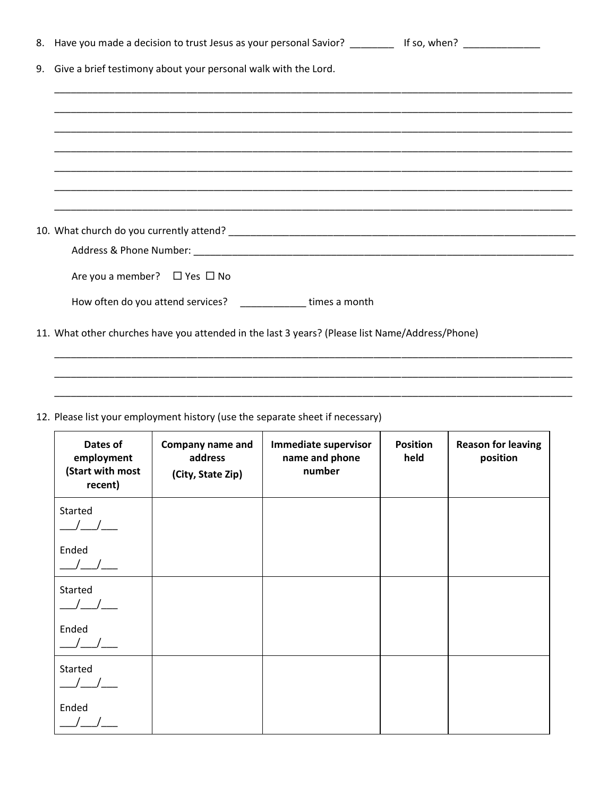| 8. Have you made a decision to trust Jesus as your personal Savior? The Law of So, when?        |  |  |  |
|-------------------------------------------------------------------------------------------------|--|--|--|
| 9. Give a brief testimony about your personal walk with the Lord.                               |  |  |  |
|                                                                                                 |  |  |  |
|                                                                                                 |  |  |  |
|                                                                                                 |  |  |  |
|                                                                                                 |  |  |  |
|                                                                                                 |  |  |  |
|                                                                                                 |  |  |  |
|                                                                                                 |  |  |  |
| Are you a member? $\Box$ Yes $\Box$ No                                                          |  |  |  |
| How often do you attend services? __________________times a month                               |  |  |  |
| 11. What other churches have you attended in the last 3 years? (Please list Name/Address/Phone) |  |  |  |

\_\_\_\_\_\_\_\_\_\_\_\_\_\_\_\_\_\_\_\_\_\_\_\_\_\_\_\_\_\_\_\_\_\_\_\_\_\_\_\_\_\_\_\_\_\_\_\_\_\_\_\_\_\_\_\_\_\_\_\_\_\_\_\_\_\_\_\_\_\_\_\_\_\_\_\_\_\_\_\_\_\_\_\_\_\_\_\_\_\_\_\_\_\_ \_\_\_\_\_\_\_\_\_\_\_\_\_\_\_\_\_\_\_\_\_\_\_\_\_\_\_\_\_\_\_\_\_\_\_\_\_\_\_\_\_\_\_\_\_\_\_\_\_\_\_\_\_\_\_\_\_\_\_\_\_\_\_\_\_\_\_\_\_\_\_\_\_\_\_\_\_\_\_\_\_\_\_\_\_\_\_\_\_\_\_\_\_\_

| 12. Please list your employment history (use the separate sheet if necessary) |  |  |
|-------------------------------------------------------------------------------|--|--|
|-------------------------------------------------------------------------------|--|--|

| Dates of<br>employment<br>(Start with most<br>recent) | Company name and<br>address<br>(City, State Zip) | Immediate supervisor<br>name and phone<br>number | <b>Position</b><br>held | <b>Reason for leaving</b><br>position |
|-------------------------------------------------------|--------------------------------------------------|--------------------------------------------------|-------------------------|---------------------------------------|
| Started                                               |                                                  |                                                  |                         |                                       |
| Ended                                                 |                                                  |                                                  |                         |                                       |
| Started                                               |                                                  |                                                  |                         |                                       |
| Ended                                                 |                                                  |                                                  |                         |                                       |
| Started                                               |                                                  |                                                  |                         |                                       |
| Ended                                                 |                                                  |                                                  |                         |                                       |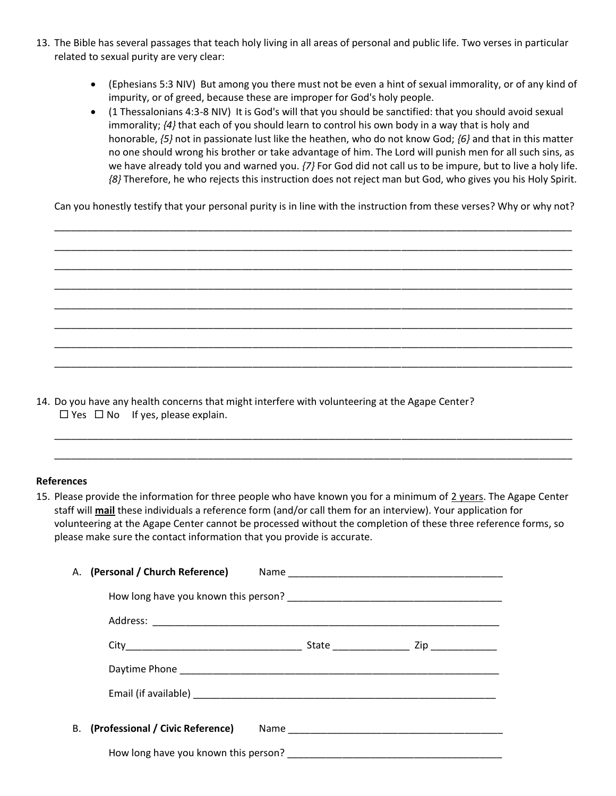- 13. The Bible has several passages that teach holy living in all areas of personal and public life. Two verses in particular related to sexual purity are very clear:
	- (Ephesians 5:3 NIV) But among you there must not be even a hint of sexual immorality, or of any kind of impurity, or of greed, because these are improper for God's holy people.
	- (1 Thessalonians 4:3-8 NIV) It is God's will that you should be sanctified: that you should avoid sexual immorality; *{4}* that each of you should learn to control his own body in a way that is holy and honorable, *{5}* not in passionate lust like the heathen, who do not know God; *{6}* and that in this matter no one should wrong his brother or take advantage of him. The Lord will punish men for all such sins, as we have already told you and warned you. *{7}* For God did not call us to be impure, but to live a holy life. *{8}* Therefore, he who rejects this instruction does not reject man but God, who gives you his Holy Spirit.

Can you honestly testify that your personal purity is in line with the instruction from these verses? Why or why not?

\_\_\_\_\_\_\_\_\_\_\_\_\_\_\_\_\_\_\_\_\_\_\_\_\_\_\_\_\_\_\_\_\_\_\_\_\_\_\_\_\_\_\_\_\_\_\_\_\_\_\_\_\_\_\_\_\_\_\_\_\_\_\_\_\_\_\_\_\_\_\_\_\_\_\_\_\_\_\_\_\_\_\_\_\_\_\_\_\_\_\_\_\_\_ \_\_\_\_\_\_\_\_\_\_\_\_\_\_\_\_\_\_\_\_\_\_\_\_\_\_\_\_\_\_\_\_\_\_\_\_\_\_\_\_\_\_\_\_\_\_\_\_\_\_\_\_\_\_\_\_\_\_\_\_\_\_\_\_\_\_\_\_\_\_\_\_\_\_\_\_\_\_\_\_\_\_\_\_\_\_\_\_\_\_\_\_\_\_ \_\_\_\_\_\_\_\_\_\_\_\_\_\_\_\_\_\_\_\_\_\_\_\_\_\_\_\_\_\_\_\_\_\_\_\_\_\_\_\_\_\_\_\_\_\_\_\_\_\_\_\_\_\_\_\_\_\_\_\_\_\_\_\_\_\_\_\_\_\_\_\_\_\_\_\_\_\_\_\_\_\_\_\_\_\_\_\_\_\_\_\_\_\_ \_\_\_\_\_\_\_\_\_\_\_\_\_\_\_\_\_\_\_\_\_\_\_\_\_\_\_\_\_\_\_\_\_\_\_\_\_\_\_\_\_\_\_\_\_\_\_\_\_\_\_\_\_\_\_\_\_\_\_\_\_\_\_\_\_\_\_\_\_\_\_\_\_\_\_\_\_\_\_\_\_\_\_\_\_\_\_\_\_\_\_\_\_\_ \_\_\_\_\_\_\_\_\_\_\_\_\_\_\_\_\_\_\_\_\_\_\_\_\_\_\_\_\_\_\_\_\_\_\_\_\_\_\_\_\_\_\_\_\_\_\_\_\_\_\_\_\_\_\_\_\_\_\_\_\_\_\_\_\_\_\_\_\_\_\_\_\_\_\_\_\_\_\_\_\_\_\_\_\_\_\_\_\_\_\_\_\_\_ \_\_\_\_\_\_\_\_\_\_\_\_\_\_\_\_\_\_\_\_\_\_\_\_\_\_\_\_\_\_\_\_\_\_\_\_\_\_\_\_\_\_\_\_\_\_\_\_\_\_\_\_\_\_\_\_\_\_\_\_\_\_\_\_\_\_\_\_\_\_\_\_\_\_\_\_\_\_\_\_\_\_\_\_\_\_\_\_\_\_\_\_\_\_ \_\_\_\_\_\_\_\_\_\_\_\_\_\_\_\_\_\_\_\_\_\_\_\_\_\_\_\_\_\_\_\_\_\_\_\_\_\_\_\_\_\_\_\_\_\_\_\_\_\_\_\_\_\_\_\_\_\_\_\_\_\_\_\_\_\_\_\_\_\_\_\_\_\_\_\_\_\_\_\_\_\_\_\_\_\_\_\_\_\_\_\_\_\_ \_\_\_\_\_\_\_\_\_\_\_\_\_\_\_\_\_\_\_\_\_\_\_\_\_\_\_\_\_\_\_\_\_\_\_\_\_\_\_\_\_\_\_\_\_\_\_\_\_\_\_\_\_\_\_\_\_\_\_\_\_\_\_\_\_\_\_\_\_\_\_\_\_\_\_\_\_\_\_\_\_\_\_\_\_\_\_\_\_\_\_\_\_\_

14. Do you have any health concerns that might interfere with volunteering at the Agape Center?  $\Box$  Yes  $\Box$  No If yes, please explain.

## **References**

15. Please provide the information for three people who have known you for a minimum of 2 years. The Agape Center staff will **mail** these individuals a reference form (and/or call them for an interview). Your application for volunteering at the Agape Center cannot be processed without the completion of these three reference forms, so please make sure the contact information that you provide is accurate.

\_\_\_\_\_\_\_\_\_\_\_\_\_\_\_\_\_\_\_\_\_\_\_\_\_\_\_\_\_\_\_\_\_\_\_\_\_\_\_\_\_\_\_\_\_\_\_\_\_\_\_\_\_\_\_\_\_\_\_\_\_\_\_\_\_\_\_\_\_\_\_\_\_\_\_\_\_\_\_\_\_\_\_\_\_\_\_\_\_\_\_\_\_\_ \_\_\_\_\_\_\_\_\_\_\_\_\_\_\_\_\_\_\_\_\_\_\_\_\_\_\_\_\_\_\_\_\_\_\_\_\_\_\_\_\_\_\_\_\_\_\_\_\_\_\_\_\_\_\_\_\_\_\_\_\_\_\_\_\_\_\_\_\_\_\_\_\_\_\_\_\_\_\_\_\_\_\_\_\_\_\_\_\_\_\_\_\_\_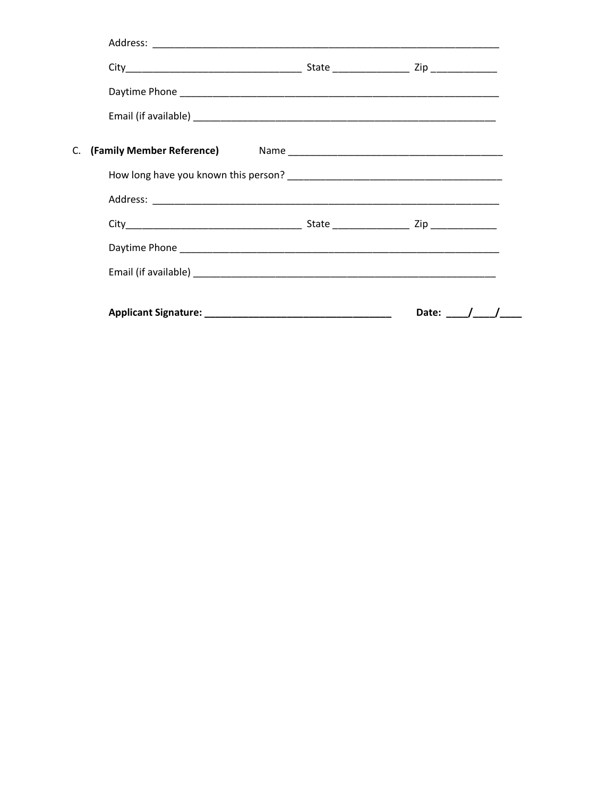|    |  | Date: $/$ / |
|----|--|-------------|
|    |  |             |
|    |  |             |
|    |  |             |
|    |  |             |
|    |  |             |
| C. |  |             |
|    |  |             |
|    |  |             |
|    |  |             |
|    |  |             |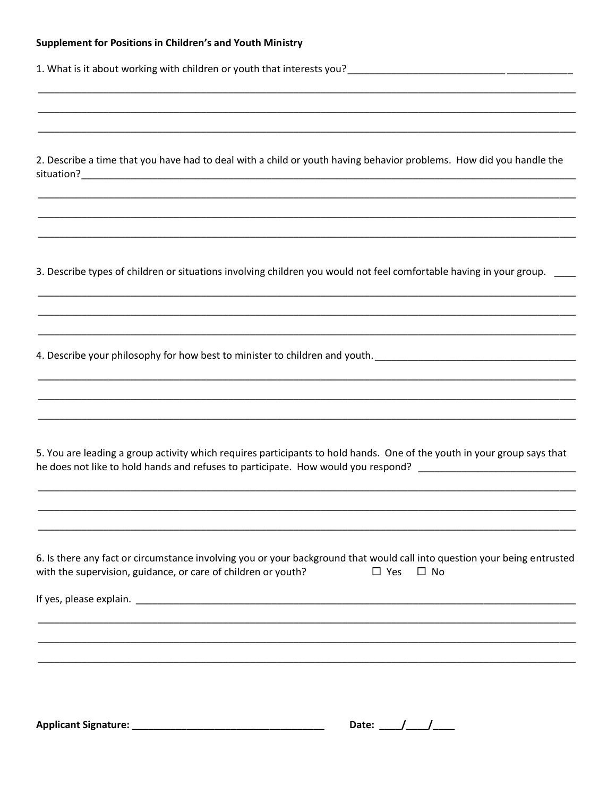| 1. What is it about working with children or youth that interests you?<br>1. What is it about working with children or youth that interests you?<br>1. What is it about working with children or youth that interests you?<br>1. Wha |
|--------------------------------------------------------------------------------------------------------------------------------------------------------------------------------------------------------------------------------------|
|                                                                                                                                                                                                                                      |
|                                                                                                                                                                                                                                      |
|                                                                                                                                                                                                                                      |
| 2. Describe a time that you have had to deal with a child or youth having behavior problems. How did you handle the                                                                                                                  |
|                                                                                                                                                                                                                                      |
|                                                                                                                                                                                                                                      |
|                                                                                                                                                                                                                                      |
| 3. Describe types of children or situations involving children you would not feel comfortable having in your group.                                                                                                                  |
|                                                                                                                                                                                                                                      |
|                                                                                                                                                                                                                                      |
| ,我们也不能在这里,我们也不能会在这里,我们也不能会在这里,我们也不能会不能会不能会不能会。""我们的人,我们也不能会不能会不能会不能会不能会。""我们的人,我<br>4. Describe your philosophy for how best to minister to children and youth. __________________________________                                   |
|                                                                                                                                                                                                                                      |
|                                                                                                                                                                                                                                      |
|                                                                                                                                                                                                                                      |
| 5. You are leading a group activity which requires participants to hold hands. One of the youth in your group says that                                                                                                              |
| he does not like to hold hands and refuses to participate. How would you respond? ___________________________                                                                                                                        |
|                                                                                                                                                                                                                                      |
|                                                                                                                                                                                                                                      |
| 6. Is there any fact or circumstance involving you or your background that would call into question your being entrusted                                                                                                             |
| with the supervision, guidance, or care of children or youth?<br>$\square$ Yes<br>$\square$ No                                                                                                                                       |
|                                                                                                                                                                                                                                      |
|                                                                                                                                                                                                                                      |
|                                                                                                                                                                                                                                      |
|                                                                                                                                                                                                                                      |
|                                                                                                                                                                                                                                      |
| Date: $\frac{1}{\sqrt{1-\frac{1}{2}}}$                                                                                                                                                                                               |